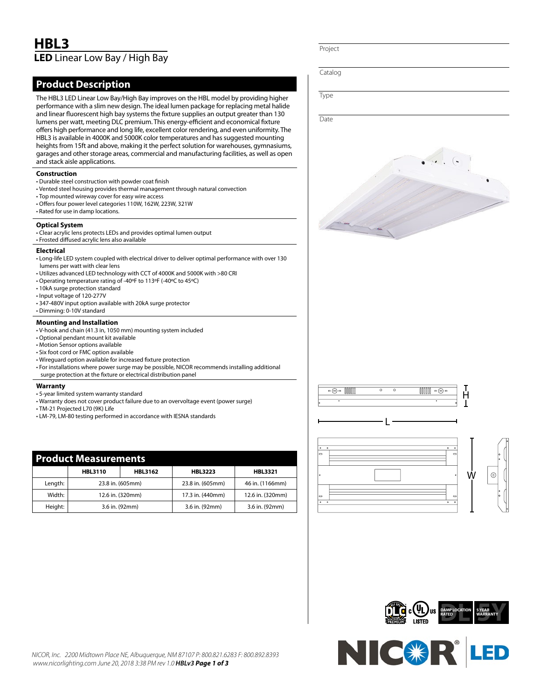# **HBL3 LED** Linear Low Bay / High Bay

# **Product Description**

The HBL3 LED Linear Low Bay/High Bay improves on the HBL model by providing higher performance with a slim new design. The ideal lumen package for replacing metal halide and linear fluorescent high bay systems the fixture supplies an output greater than 130 lumens per watt, meeting DLC premium. This energy-efficient and economical fixture offers high performance and long life, excellent color rendering, and even uniformity. The HBL3 is available in 4000K and 5000K color temperatures and has suggested mounting heights from 15ft and above, making it the perfect solution for warehouses, gymnasiums, garages and other storage areas, commercial and manufacturing facilities, as well as open and stack aisle applications.

#### **Construction**

- Durable steel construction with powder coat finish
- Vented steel housing provides thermal management through natural convection
- Top mounted wireway cover for easy wire access
- Offers four power level categories 110W, 162W, 223W, 321W
- Rated for use in damp locations.

#### **Optical System**

- Clear acrylic lens protects LEDs and provides optimal lumen output
- Frosted diffused acrylic lens also available

#### **Electrical**

- Long-life LED system coupled with electrical driver to deliver optimal performance with over 130 lumens per watt with clear lens
- Utilizes advanced LED technology with CCT of 4000K and 5000K with >80 CRI
- Operating temperature rating of -40ºF to 113ºF (-40ºC to 45ºC)
- 10kA surge protection standard
- Input voltage of 120-277V
- 347-480V input option available with 20kA surge protector
- Dimming: 0-10V standard

#### **Mounting and Installation**

- V-hook and chain (41.3 in, 1050 mm) mounting system included
- Optional pendant mount kit available
- Motion Sensor options available
- Six foot cord or FMC option available
- Wireguard option available for increased fixture protection
- For installations where power surge may be possible, NICOR recommends installing additional surge protection at the fixture or electrical distribution panel

### **Warranty**

- 5-year limited system warranty standard
- Warranty does not cover product failure due to an overvoltage event (power surge)
- TM-21 Projected L70 (9K) Life
- LM-79, LM-80 testing performed in accordance with IESNA standards

| <b>Product Measurements</b> |                  |                |                  |                  |
|-----------------------------|------------------|----------------|------------------|------------------|
|                             | <b>HBL3110</b>   | <b>HBL3162</b> | <b>HBL3223</b>   | <b>HBL3321</b>   |
| Length:                     | 23.8 in. (605mm) |                | 23.8 in. (605mm) | 46 in. (1166mm)  |
| Width:                      | 12.6 in. (320mm) |                | 17.3 in. (440mm) | 12.6 in. (320mm) |
| Height:                     | 3.6 in. (92mm)   |                | 3.6 in. (92mm)   | 3.6 in. (92mm)   |

Catalog

Type

Project

Date







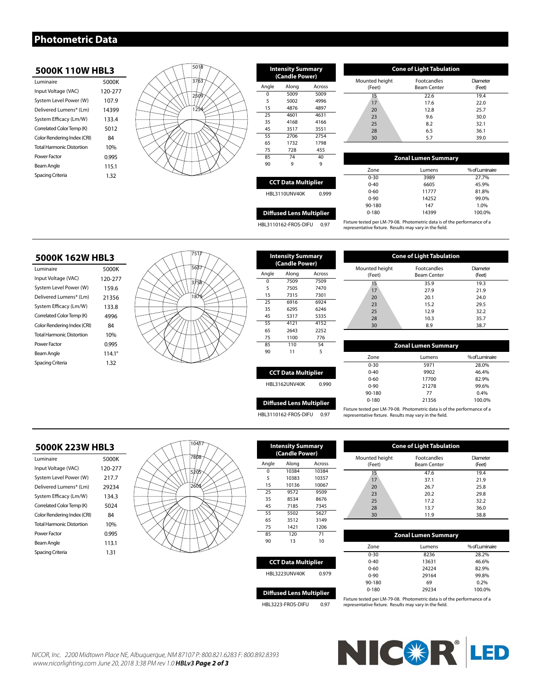# **Photometric Data**

### **5000K 110W HBL3**

| Luminaire                        | 5000K   |
|----------------------------------|---------|
| Input Voltage (VAC)              | 120-277 |
| System Level Power (W)           | 107.9   |
| Delivered Lumens* (Lm)           | 14399   |
| System Efficacy (Lm/W)           | 133.4   |
| Correlated Color Temp (K)        | 5012    |
| Color Rendering Index (CRI)      | 84      |
| <b>Total Harmonic Distortion</b> | 10%     |
| Power Factor                     | 0.995   |
| Beam Angle                       | 115.1   |
| Spacing Criteria                 | 132     |
|                                  |         |



| <b>Intensity Summary</b><br>(Candle Power) |       |        |  |
|--------------------------------------------|-------|--------|--|
| Angle                                      | Along | Across |  |
| $\Omega$                                   | 5009  | 5009   |  |
| 5                                          | 5002  | 4996   |  |
| 15                                         | 4876  | 4897   |  |
| 25                                         | 4601  | 4631   |  |
| 35                                         | 4168  | 4166   |  |
| 45                                         | 3517  | 3551   |  |
| 55                                         | 2706  | 2754   |  |
| 65                                         | 1732  | 1798   |  |
| 75                                         | 728   | 455    |  |
| 85                                         | 74    | 40     |  |
| 90                                         | q     | 9      |  |
|                                            |       |        |  |

| <b>Cone of Light Tabulation</b> |                                          |                    |  |  |
|---------------------------------|------------------------------------------|--------------------|--|--|
| Mounted height<br>(Feet)        | <b>Footcandles</b><br><b>Beam Center</b> | Diameter<br>(Feet) |  |  |
| 15                              | 22.6                                     | 19.4               |  |  |
| 17                              | 17.6                                     | 22.0               |  |  |
| 20                              | 12.8                                     | 25.7               |  |  |
| 23                              | 9.6                                      | 30.0               |  |  |
| 25                              | 8.2                                      | 32.1               |  |  |
| 28                              | 6.5                                      | 36.1               |  |  |
| 30                              | 5.7                                      | 39.0               |  |  |

| <b>Zonal Lumen Summary</b> |        |                |  |
|----------------------------|--------|----------------|--|
| Zone                       | Lumens | % of Luminaire |  |
| $0 - 30$                   | 3989   | 27.7%          |  |
| $0 - 40$                   | 6605   | 45.9%          |  |
| $0 - 60$                   | 11777  | 81.8%          |  |
| $0 - 90$                   | 14252  | 99.0%          |  |
| 90-180                     | 147    | 1.0%           |  |
| $0 - 180$                  | 14399  | 100.0%         |  |

**Cone of Light Tabulation**

Footcandles Beam Center

 35.9 19.3 27.9 21.9 20.1 24.0 15.2 29.5 12.9 32.2 10.3 35.7 30 8.9 38.7

**Diffused Lens Multiplier**

**CCT Data Multiplier** HBL3110UNV40K 0.999

HBL3110162-FROS-DIFU 0.97 Fixture tested per LM-79-08. Photometric data is of the performance of a representative fixture. Results may vary in the field.

### **5000K 162W HBL3**

| Luminaire                        | 5000K           |
|----------------------------------|-----------------|
| Input Voltage (VAC)              | 120-277         |
| System Level Power (W)           | 159.6           |
| Delivered Lumens* (Lm)           | 21356           |
| System Efficacy (Lm/W)           | 133.8           |
| Correlated Color Temp (K)        | 4996            |
| Color Rendering Index (CRI)      | 84              |
| <b>Total Harmonic Distortion</b> | 10%             |
| Power Factor                     | 0.995           |
| Beam Angle                       | $114.1^{\circ}$ |
| Spacing Criteria                 | 132             |



| <b>Intensity Summary</b><br>(Candle Power) |       |        |  |
|--------------------------------------------|-------|--------|--|
| Angle                                      | Along | Across |  |
| $\Omega$                                   | 7509  | 7509   |  |
| 5                                          | 7505  | 7470   |  |
| 15                                         | 7315  | 7301   |  |
| 25                                         | 6916  | 6924   |  |
| 35                                         | 6295  | 6246   |  |
| 45                                         | 5317  | 5335   |  |
| 55                                         | 4121  | 4152   |  |
| 65                                         | 2643  | 2252   |  |
| 75                                         | 1100  | 776    |  |
| 85                                         | 110   | 54     |  |
| 90                                         | 11    | 5      |  |
|                                            |       |        |  |
| <b>CCT Data Multiplier</b>                 |       |        |  |

HBL3110162-FROS-DIFU 0.97

|                                 |       | 0-30      | 5971  | 28.0%   |
|---------------------------------|-------|-----------|-------|---------|
| <b>CCT Data Multiplier</b>      |       | $0 - 40$  | 9902  | 46.4%   |
|                                 |       | $0 - 60$  | 17700 | 82.9%   |
| HBL3162UNV40K                   | 0.990 | $0 - 90$  | 21278 | 99.6%   |
|                                 |       | 90-180    | 77    | $0.4\%$ |
| <b>Diffused Lens Multiplier</b> |       | $0 - 180$ | 21356 | 100.0%  |

Mounted height (Feet)

Mounted height (Feet)

Fixture tested per LM-79-08. Photometric data is of the performance of a representative fixture. Results may vary in the field.

**Zonal Lumen Summary** Zone Lumens % of Luminaire

28.0% 46.4%

Diameter (Feet)

100.0%

Diameter (Feet)

### **5000K 223W HBL3**

| Luminaire                        | 5000K   |
|----------------------------------|---------|
| Input Voltage (VAC)              | 120-277 |
| System Level Power (W)           | 217.7   |
| Delivered Lumens* (Lm)           | 29234   |
| System Efficacy (Lm/W)           | 1343    |
| Correlated Color Temp (K)        | 5024    |
| Color Rendering Index (CRI)      | 84      |
| <b>Total Harmonic Distortion</b> | 10%     |
| Power Factor                     | 0.995   |
| Beam Angle                       | 113.1   |
| Spacing Criteria                 | 1.31    |



| <b>Intensity Summary</b><br>(Candle Power) |       |        |  |
|--------------------------------------------|-------|--------|--|
| Angle                                      | Along | Across |  |
| $\Omega$                                   | 10384 | 10384  |  |
| 5                                          | 10383 | 10357  |  |
| 15                                         | 10136 | 10067  |  |
| 25                                         | 9572  | 9509   |  |
| 35                                         | 8534  | 8676   |  |
| 45                                         | 7185  | 7345   |  |
| 55                                         | 5502  | 5627   |  |
| 65                                         | 3512  | 3149   |  |
| 75                                         | 1421  | 1206   |  |
| 85                                         | 120   | 71     |  |
| 90                                         | 13    | 10     |  |
|                                            |       |        |  |

| <b>CCT Data Multiplier</b> |      |  |  |
|----------------------------|------|--|--|
| <b>HBL3223UNV40K</b>       | 0979 |  |  |
|                            |      |  |  |

| <b>Diffused Lens Multiplier</b> |      |
|---------------------------------|------|
| HBL3223-FROS-DIFU               | 0.97 |

**Zonal Lumen Summary** 47.6 19.4 37.1 21.9 26.7 25.8 20.2 29.8 17.2 32.2 13.7 36.0 11.9 38.8

**Cone of Light Tabulation**

Footcandles Beam Center

| Zone      | Lumens | % of Luminaire |
|-----------|--------|----------------|
| $0 - 30$  | 8236   | 28.2%          |
| $0 - 40$  | 13631  | 46.6%          |
| $0 - 60$  | 24224  | 82.9%          |
| $0 - 90$  | 29164  | 99.8%          |
| 90-180    | 69     | 0.2%           |
| $0 - 180$ | 29234  | 100.0%         |
|           |        |                |

Fixture tested per LM-79-08. Photometric data is of the performance of a representative fixture. Results may vary in the field.

*NICOR, Inc. 2200 Midtown Place NE, Albuquerque, NM 87107 P: 800.821.6283 F: 800.892.8393 www.nicorlighting.com June 20, 2018 3:38 PM rev 1.0 HBLv3 Page 2 of 3*